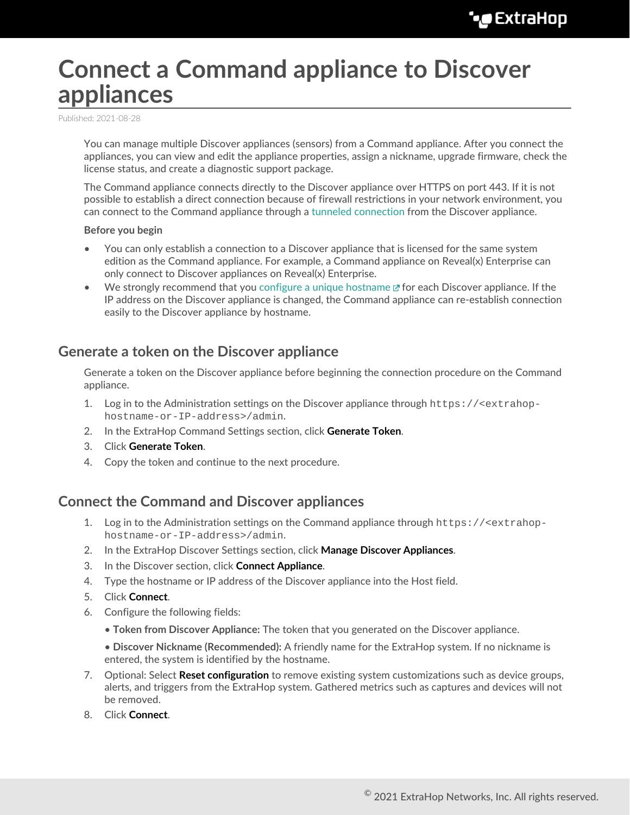# <span id="page-0-0"></span>**Connect a Command appliance to Discover appliances**

Published: 2021-08-28

You can manage multiple Discover appliances (sensors) from a Command appliance. After you connect the appliances, you can view and edit the appliance properties, assign a nickname, upgrade firmware, check the license status, and create a diagnostic support package.

The Command appliance connects directly to the Discover appliance over HTTPS on port 443. If it is not possible to establish a direct connection because of firewall restrictions in your network environment, you can connect to the Command appliance through a [tunneled connection](#page-1-0) from the Discover appliance.

#### **Before you begin**

- You can only establish a connection to a Discover appliance that is licensed for the same system edition as the Command appliance. For example, a Command appliance on Reveal(x) Enterprise can only connect to Discover appliances on Reveal(x) Enterprise.
- We strongly recommend that you [configure a unique hostname](https://docs.extrahop.com/8.4/eta-admin-ui-guide/#connectivity)  $\mathbb Z$  for each Discover appliance. If the IP address on the Discover appliance is changed, the Command appliance can re-establish connection easily to the Discover appliance by hostname.

## **Generate a token on the Discover appliance**

Generate a token on the Discover appliance before beginning the connection procedure on the Command appliance.

- 1. Log in to the Administration settings on the Discover appliance through https://<extrahophostname-or-IP-address>/admin.
- 2. In the ExtraHop Command Settings section, click **Generate Token**.
- 3. Click **Generate Token**.
- 4. Copy the token and continue to the next procedure.

## **Connect the Command and Discover appliances**

- 1. Log in to the Administration settings on the Command appliance through https://<extrahophostname-or-IP-address>/admin.
- 2. In the ExtraHop Discover Settings section, click **Manage Discover Appliances**.
- 3. In the Discover section, click **Connect Appliance**.
- 4. Type the hostname or IP address of the Discover appliance into the Host field.
- 5. Click **Connect**.
- 6. Configure the following fields:
	- **Token from Discover Appliance:** The token that you generated on the Discover appliance.

• **Discover Nickname (Recommended):** A friendly name for the ExtraHop system. If no nickname is entered, the system is identified by the hostname.

- 7. Optional: Select **Reset configuration** to remove existing system customizations such as device groups, alerts, and triggers from the ExtraHop system. Gathered metrics such as captures and devices will not be removed.
- 8. Click **Connect**.